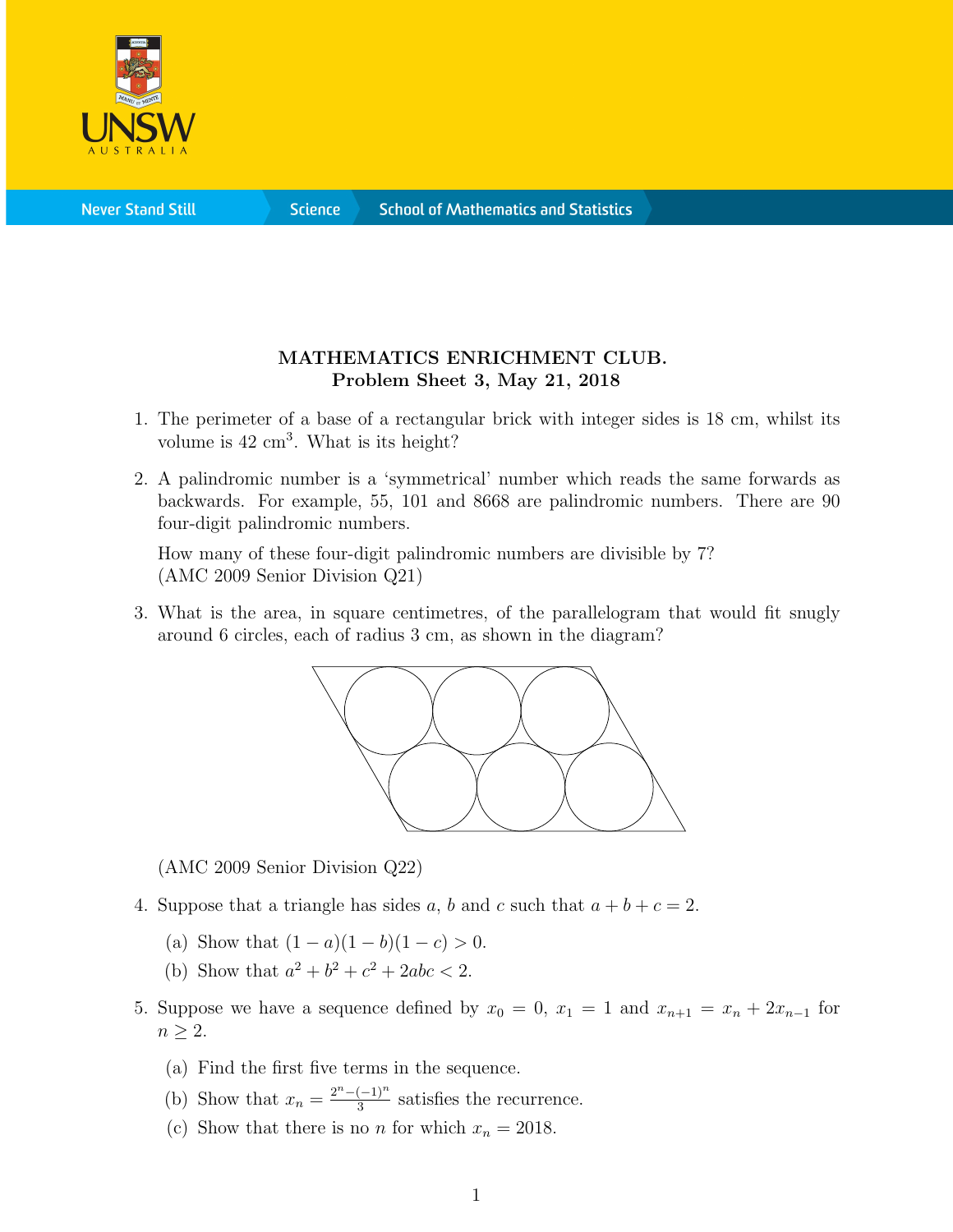

**Science** 

## MATHEMATICS ENRICHMENT CLUB. Problem Sheet 3, May 21, 2018

- 1. The perimeter of a base of a rectangular brick with integer sides is 18 cm, whilst its volume is  $42 \text{ cm}^3$ . What is its height?
- 2. A palindromic number is a 'symmetrical' number which reads the same forwards as backwards. For example, 55, 101 and 8668 are palindromic numbers. There are 90 four-digit palindromic numbers.

How many of these four-digit palindromic numbers are divisible by 7? (AMC 2009 Senior Division Q21)

3. What is the area, in square centimetres, of the parallelogram that would fit snugly around 6 circles, each of radius 3 cm, as shown in the diagram?



(AMC 2009 Senior Division Q22)

- 4. Suppose that a triangle has sides a, b and c such that  $a + b + c = 2$ .
	- (a) Show that  $(1 a)(1 b)(1 c) > 0$ .
	- (b) Show that  $a^2 + b^2 + c^2 + 2abc < 2$ .
- 5. Suppose we have a sequence defined by  $x_0 = 0$ ,  $x_1 = 1$  and  $x_{n+1} = x_n + 2x_{n-1}$  for  $n \geq 2$ .
	- (a) Find the first five terms in the sequence.
	- (b) Show that  $x_n = \frac{2^n (-1)^n}{3}$  $\frac{(-1)^n}{3}$  satisfies the recurrence.
	- (c) Show that there is no *n* for which  $x_n = 2018$ .